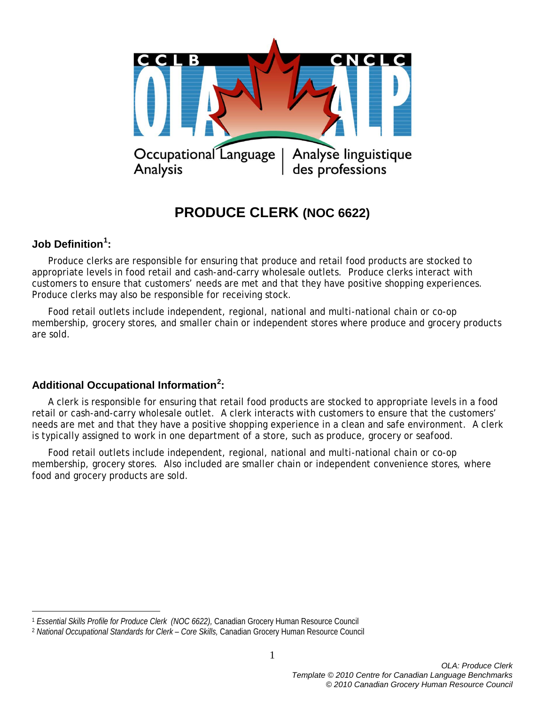

# **PRODUCE CLERK (NOC 6622)**

# **Job Definition[1](#page-0-0) :**

 $\overline{a}$ 

Produce clerks are responsible for ensuring that produce and retail food products are stocked to appropriate levels in food retail and cash-and-carry wholesale outlets. Produce clerks interact with customers to ensure that customers' needs are met and that they have positive shopping experiences. Produce clerks may also be responsible for receiving stock.

Food retail outlets include independent, regional, national and multi-national chain or co-op membership, grocery stores, and smaller chain or independent stores where produce and grocery products are sold.

# **Additional Occupational Information[2](#page-0-1) :**

A clerk is responsible for ensuring that retail food products are stocked to appropriate levels in a food retail or cash-and-carry wholesale outlet. A clerk interacts with customers to ensure that the customers' needs are met and that they have a positive shopping experience in a clean and safe environment. A clerk is typically assigned to work in one department of a store, such as produce, grocery or seafood.

Food retail outlets include independent, regional, national and multi-national chain or co-op membership, grocery stores. Also included are smaller chain or independent convenience stores, where food and grocery products are sold.

<span id="page-0-0"></span><sup>1</sup> *Essential Skills Profile for Produce Clerk (NOC 6622),* Canadian Grocery Human Resource Council

<span id="page-0-1"></span><sup>2</sup> *National Occupational Standards for Clerk – Core Skills,* Canadian Grocery Human Resource Council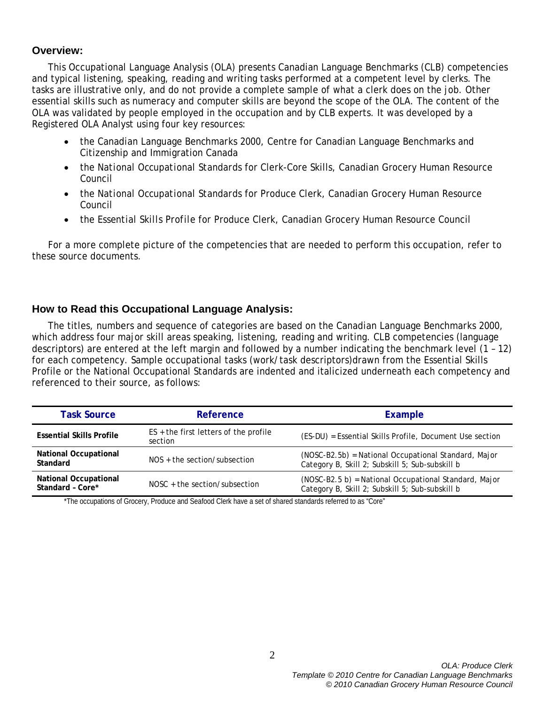#### **Overview:**

This Occupational Language Analysis (OLA) presents Canadian Language Benchmarks (CLB) competencies and typical listening, speaking, reading and writing tasks performed at a competent level by clerks. The tasks are illustrative only, and do not provide a complete sample of what a clerk does on the job. Other essential skills such as numeracy and computer skills are beyond the scope of the OLA. The content of the OLA was validated by people employed in the occupation and by CLB experts. It was developed by a Registered OLA Analyst using four key resources:

- the *Canadian Language Benchmarks 2000*, Centre for Canadian Language Benchmarks and Citizenship and Immigration Canada
- the *National Occupational Standards* for Clerk-Core Skills, Canadian Grocery Human Resource Council
- the *National Occupational Standards* for Produce Clerk, Canadian Grocery Human Resource Council
- the *Essential Skills Profile* for Produce Clerk, Canadian Grocery Human Resource Council

For a more complete picture of the competencies that are needed to perform this occupation, refer to these source documents.

#### **How to Read this Occupational Language Analysis:**

The titles, numbers and sequence of categories are based on the *Canadian Language Benchmarks 2000*, which address four major skill areas speaking, listening, reading and writing. CLB competencies (language descriptors) are entered at the left margin and followed by a number indicating the benchmark level (1 – 12) for each competency. Sample occupational tasks (work/task descriptors)drawn from the Essential Skills Profile or the National Occupational Standards are indented and italicized underneath each competency and referenced to their source, as follows:

| <b>Task Source</b>                               | Reference                                          | Example                                                                                                  |  |
|--------------------------------------------------|----------------------------------------------------|----------------------------------------------------------------------------------------------------------|--|
| <b>Essential Skills Profile</b>                  | $ES +$ the first letters of the profile<br>section | (ES-DU) = Essential Skills Profile, Document Use section                                                 |  |
| <b>National Occupational</b><br>Standard         | $NOS +$ the section/subsection                     | (NOSC-B2.5b) = National Occupational Standard, Major<br>Category B, Skill 2; Subskill 5; Sub-subskill b  |  |
| <b>National Occupational</b><br>Standard - Core* | $NOSC + the section/subsection$                    | (NOSC-B2.5 b) = National Occupational Standard, Major<br>Category B, Skill 2; Subskill 5; Sub-subskill b |  |

\*The occupations of Grocery, Produce and Seafood Clerk have a set of shared standards referred to as "Core"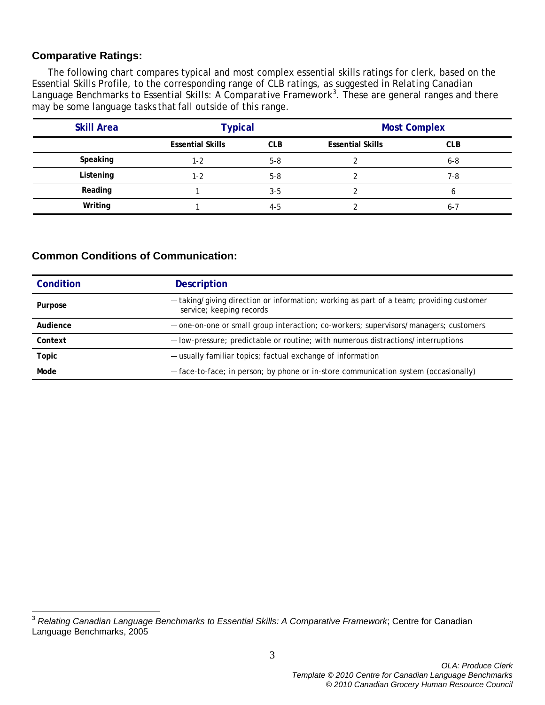#### **Comparative Ratings:**

The following chart compares typical and most complex essential skills ratings for clerk, based on the Essential Skills Profile, to the corresponding range of CLB ratings, as suggested in *Relating Canadian Language Benchmarks to Essential Skills: A Comparative Framework[3](#page-2-0)* . These are general ranges and there may be some language tasks that fall outside of this range.

| <b>Skill Area</b> | <b>Typical</b>          |            | <b>Most Complex</b>     |            |
|-------------------|-------------------------|------------|-------------------------|------------|
|                   | <b>Essential Skills</b> | <b>CLB</b> | <b>Essential Skills</b> | <b>CLB</b> |
| Speaking          | 1-2                     | $5 - 8$    |                         | $6 - 8$    |
| Listening         | 1-2                     | $5 - 8$    |                         | 7-8        |
| Reading           |                         | $3 - 5$    |                         | b          |
| Writing           |                         | $4-5$      |                         | $6 - 7$    |

#### **Common Conditions of Communication:**

| Condition | <b>Description</b>                                                                                                  |
|-----------|---------------------------------------------------------------------------------------------------------------------|
| Purpose   | - taking/giving direction or information; working as part of a team; providing customer<br>service; keeping records |
| Audience  | - one-on-one or small group interaction; co-workers; supervisors/managers; customers                                |
| Context   | - low-pressure; predictable or routine; with numerous distractions/interruptions                                    |
| Topic     | - usually familiar topics; factual exchange of information                                                          |
| Mode      | - face-to-face; in person; by phone or in-store communication system (occasionally)                                 |

<span id="page-2-0"></span><sup>3</sup> *Relating Canadian Language Benchmarks to Essential Skills: A Comparative Framework*; Centre for Canadian Language Benchmarks, 2005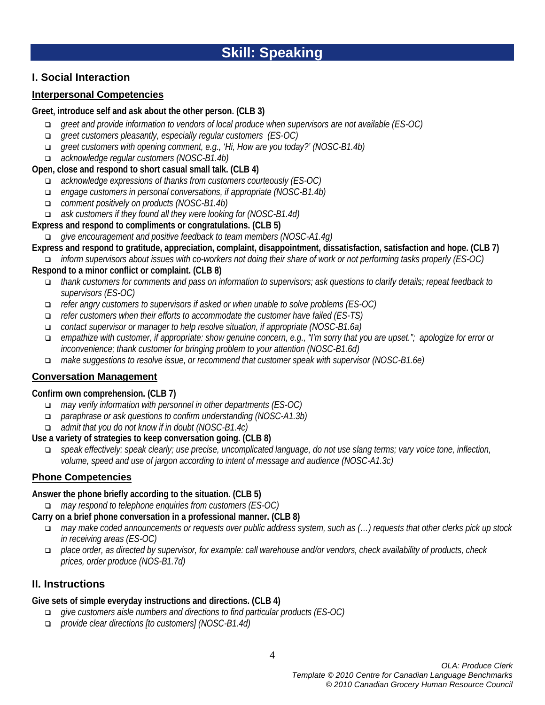# **I. Social Interaction**

# **Interpersonal Competencies**

#### **Greet, introduce self and ask about the other person. (CLB 3)**

- *greet and provide information to vendors of local produce when supervisors are not available (ES-OC)*
- *greet customers pleasantly, especially regular customers (ES-OC)*
- *greet customers with opening comment, e.g., 'Hi, How are you today?' (NOSC-B1.4b)*
- *acknowledge regular customers (NOSC-B1.4b)*

#### **Open, close and respond to short casual small talk. (CLB 4)**

- *acknowledge expressions of thanks from customers courteously (ES-OC)*
- *engage customers in personal conversations, if appropriate (NOSC-B1.4b)*
- *comment positively on products (NOSC-B1.4b)*
- *ask customers if they found all they were looking for (NOSC-B1.4d)*

# **Express and respond to compliments or congratulations. (CLB 5)**

- *give encouragement and positive feedback to team members (NOSC-A1.4g)*
- **Express and respond to gratitude, appreciation, complaint, disappointment, dissatisfaction, satisfaction and hope. (CLB 7)**
- *inform supervisors about issues with co-workers not doing their share of work or not performing tasks properly (ES-OC)* **Respond to a minor conflict or complaint. (CLB 8)**
	- *thank customers for comments and pass on information to supervisors; ask questions to clarify details; repeat feedback to supervisors (ES-OC)*
	- *refer angry customers to supervisors if asked or when unable to solve problems (ES-OC)*
	- *refer customers when their efforts to accommodate the customer have failed (ES-TS)*
	- *contact supervisor or manager to help resolve situation, if appropriate (NOSC-B1.6a)*
	- *empathize with customer, if appropriate: show genuine concern, e.g., "I'm sorry that you are upset."; apologize for error or inconvenience; thank customer for bringing problem to your attention (NOSC-B1.6d)*
	- *make suggestions to resolve issue, or recommend that customer speak with supervisor (NOSC-B1.6e)*

# **Conversation Management**

# **Confirm own comprehension. (CLB 7)**

- *may verify information with personnel in other departments (ES-OC)*
- *paraphrase or ask questions to confirm understanding (NOSC-A1.3b)*
- *admit that you do not know if in doubt (NOSC-B1.4c)*

# **Use a variety of strategies to keep conversation going. (CLB 8)**

 *speak effectively: speak clearly; use precise, uncomplicated language, do not use slang terms; vary voice tone, inflection, volume, speed and use of jargon according to intent of message and audience (NOSC-A1.3c)*

# **Phone Competencies**

#### **Answer the phone briefly according to the situation. (CLB 5)**

*may respond to telephone enquiries from customers (ES-OC)*

# **Carry on a brief phone conversation in a professional manner. (CLB 8)**

- *may make coded announcements or requests over public address system, such as (…) requests that other clerks pick up stock in receiving areas (ES-OC)*
- *place order, as directed by supervisor, for example: call warehouse and/or vendors, check availability of products, check prices, order produce (NOS-B1.7d)*

# **II. Instructions**

# **Give sets of simple everyday instructions and directions. (CLB 4)**

- *give customers aisle numbers and directions to find particular products (ES-OC)*
- *provide clear directions [to customers] (NOSC-B1.4d)*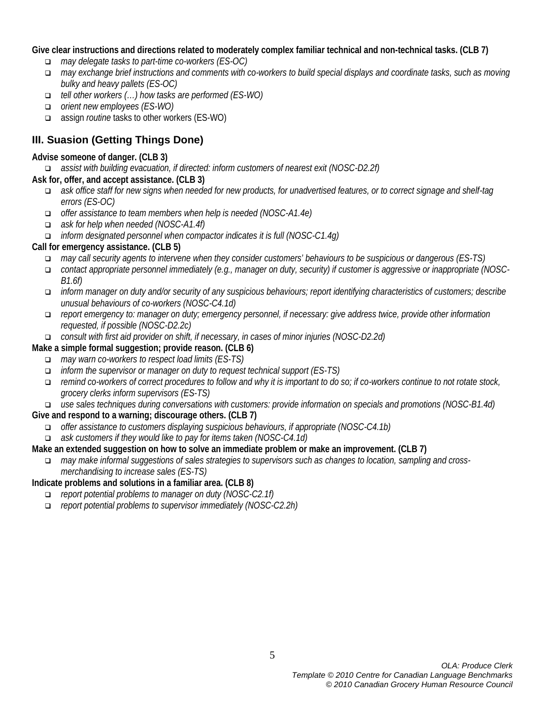#### **Give clear instructions and directions related to moderately complex familiar technical and non-technical tasks. (CLB 7)**

- *may delegate tasks to part-time co-workers (ES-OC)*
- *may exchange brief instructions and comments with co-workers to build special displays and coordinate tasks, such as moving bulky and heavy pallets (ES-OC)*
- *tell other workers (…) how tasks are performed (ES-WO)*
- *orient new employees (ES-WO)*
- assign *routine* tasks to other workers (ES-WO)

# **III. Suasion (Getting Things Done)**

#### **Advise someone of danger. (CLB 3)**

*assist with building evacuation, if directed: inform customers of nearest exit (NOSC-D2.2f)*

# **Ask for, offer, and accept assistance. (CLB 3)**

- *ask office staff for new signs when needed for new products, for unadvertised features, or to correct signage and shelf-tag errors (ES-OC)*
- *offer assistance to team members when help is needed (NOSC-A1.4e)*
- *ask for help when needed (NOSC-A1.4f)*
- *inform designated personnel when compactor indicates it is full (NOSC-C1.4g)*

# **Call for emergency assistance. (CLB 5)**

- *may call security agents to intervene when they consider customers' behaviours to be suspicious or dangerous (ES-TS)*
- *contact appropriate personnel immediately (e.g., manager on duty, security) if customer is aggressive or inappropriate (NOSC-B1.6f)*
- *inform manager on duty and/or security of any suspicious behaviours; report identifying characteristics of customers; describe unusual behaviours of co-workers (NOSC-C4.1d)*
- *report emergency to: manager on duty; emergency personnel, if necessary: give address twice, provide other information requested, if possible (NOSC-D2.2c)*
- *consult with first aid provider on shift, if necessary, in cases of minor injuries (NOSC-D2.2d)*

#### **Make a simple formal suggestion; provide reason. (CLB 6)**

- *may warn co-workers to respect load limits (ES-TS)*
- *inform the supervisor or manager on duty to request technical support (ES-TS)*
- *remind co-workers of correct procedures to follow and why it is important to do so; if co-workers continue to not rotate stock, grocery clerks inform supervisors (ES-TS)*
- *use sales techniques during conversations with customers: provide information on specials and promotions (NOSC-B1.4d)*

# **Give and respond to a warning; discourage others. (CLB 7)**

- *offer assistance to customers displaying suspicious behaviours, if appropriate (NOSC-C4.1b)*
- *ask customers if they would like to pay for items taken (NOSC-C4.1d)*

#### **Make an extended suggestion on how to solve an immediate problem or make an improvement. (CLB 7)**

 *may make informal suggestions of sales strategies to supervisors such as changes to location, sampling and crossmerchandising to increase sales (ES-TS)*

# **Indicate problems and solutions in a familiar area. (CLB 8)**

- *report potential problems to manager on duty (NOSC-C2.1f)*
- *report potential problems to supervisor immediately (NOSC-C2.2h)*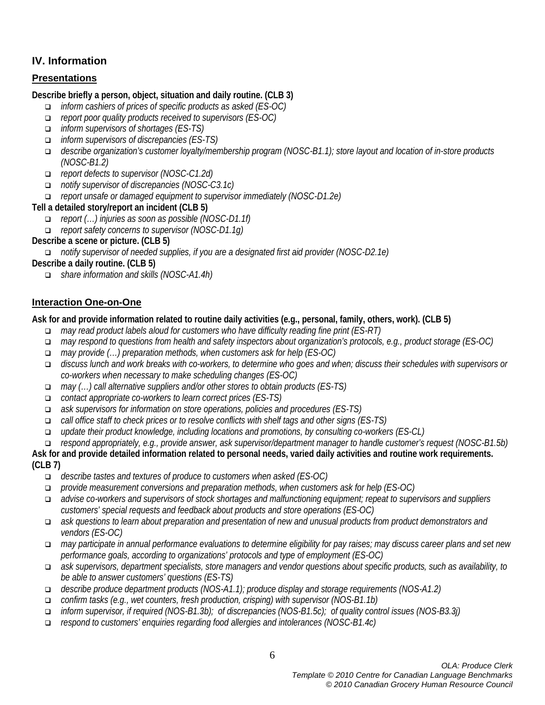# **IV. Information**

# **Presentations**

# **Describe briefly a person, object, situation and daily routine. (CLB 3)**

- *inform cashiers of prices of specific products as asked (ES-OC)*
- *report poor quality products received to supervisors (ES-OC)*
- *inform supervisors of shortages (ES-TS)*
- *inform supervisors of discrepancies (ES-TS)*
- *describe organization's customer loyalty/membership program (NOSC-B1.1); store layout and location of in-store products (NOSC-B1.2)*
- *report defects to supervisor (NOSC-C1.2d)*
- *notify supervisor of discrepancies (NOSC-C3.1c)*
- *report unsafe or damaged equipment to supervisor immediately (NOSC-D1.2e)*

# **Tell a detailed story/report an incident (CLB 5)**

- *report (…) injuries as soon as possible (NOSC-D1.1f)*
- *report safety concerns to supervisor (NOSC-D1.1g)*

# **Describe a scene or picture. (CLB 5)**

*notify supervisor of needed supplies, if you are a designated first aid provider (NOSC-D2.1e)*

# **Describe a daily routine. (CLB 5)**

*share information and skills (NOSC-A1.4h)*

# **Interaction One-on-One**

**Ask for and provide information related to routine daily activities (e.g., personal, family, others, work). (CLB 5)**

- *may read product labels aloud for customers who have difficulty reading fine print (ES-RT)*
- *may respond to questions from health and safety inspectors about organization's protocols, e.g., product storage (ES-OC)*
- *may provide (…) preparation methods, when customers ask for help (ES-OC)*
- *discuss lunch and work breaks with co-workers, to determine who goes and when; discuss their schedules with supervisors or co-workers when necessary to make scheduling changes (ES-OC)*
- *may (…) call alternative suppliers and/or other stores to obtain products (ES-TS)*
- *contact appropriate co-workers to learn correct prices (ES-TS)*
- *ask supervisors for information on store operations, policies and procedures (ES-TS)*
- *call office staff to check prices or to resolve conflicts with shelf tags and other signs (ES-TS)*
- *update their product knowledge, including locations and promotions, by consulting co-workers (ES-CL)*

*respond appropriately, e.g., provide answer, ask supervisor/department manager to handle customer's request (NOSC-B1.5b)*

#### **Ask for and provide detailed information related to personal needs, varied daily activities and routine work requirements. (CLB 7)**

- *describe tastes and textures of produce to customers when asked (ES-OC)*
- *provide measurement conversions and preparation methods, when customers ask for help (ES-OC)*
- *advise co-workers and supervisors of stock shortages and malfunctioning equipment; repeat to supervisors and suppliers customers' special requests and feedback about products and store operations (ES-OC)*
- *ask questions to learn about preparation and presentation of new and unusual products from product demonstrators and vendors (ES-OC)*
- *may participate in annual performance evaluations to determine eligibility for pay raises; may discuss career plans and set new performance goals, according to organizations' protocols and type of employment (ES-OC)*
- *ask supervisors, department specialists, store managers and vendor questions about specific products, such as availability, to be able to answer customers' questions (ES-TS)*
- *describe produce department products (NOS-A1.1); produce display and storage requirements (NOS-A1.2)*
- *confirm tasks (e.g., wet counters, fresh production, crisping) with supervisor (NOS-B1.1b)*
- *inform supervisor, if required (NOS-B1.3b); of discrepancies (NOS-B1.5c); of quality control issues (NOS-B3.3j)*
- *respond to customers' enquiries regarding food allergies and intolerances (NOSC-B1.4c)*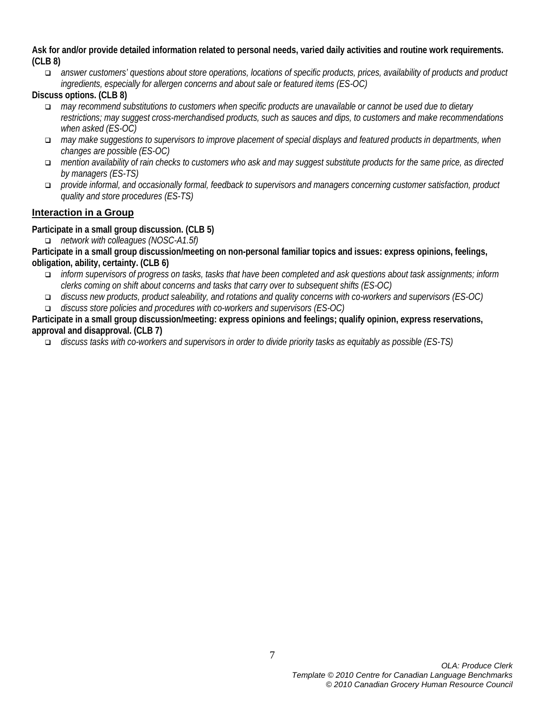**Ask for and/or provide detailed information related to personal needs, varied daily activities and routine work requirements. (CLB 8)**

 *answer customers' questions about store operations, locations of specific products, prices, availability of products and product ingredients, especially for allergen concerns and about sale or featured items (ES-OC)*

**Discuss options. (CLB 8)**

- *may recommend substitutions to customers when specific products are unavailable or cannot be used due to dietary restrictions; may suggest cross-merchandised products, such as sauces and dips, to customers and make recommendations when asked (ES-OC)*
- *may make suggestions to supervisors to improve placement of special displays and featured products in departments, when changes are possible (ES-OC)*
- *mention availability of rain checks to customers who ask and may suggest substitute products for the same price, as directed by managers (ES-TS)*
- *provide informal, and occasionally formal, feedback to supervisors and managers concerning customer satisfaction, product quality and store procedures (ES-TS)*

# **Interaction in a Group**

# **Participate in a small group discussion. (CLB 5)**

*network with colleagues (NOSC-A1.5f)*

**Participate in a small group discussion/meeting on non-personal familiar topics and issues: express opinions, feelings, obligation, ability, certainty. (CLB 6)**

- *inform supervisors of progress on tasks, tasks that have been completed and ask questions about task assignments; inform clerks coming on shift about concerns and tasks that carry over to subsequent shifts (ES-OC)*
- *discuss new products, product saleability, and rotations and quality concerns with co-workers and supervisors (ES-OC)*
- *discuss store policies and procedures with co-workers and supervisors (ES-OC)*

**Participate in a small group discussion/meeting: express opinions and feelings; qualify opinion, express reservations, approval and disapproval. (CLB 7)**

*discuss tasks with co-workers and supervisors in order to divide priority tasks as equitably as possible (ES-TS)*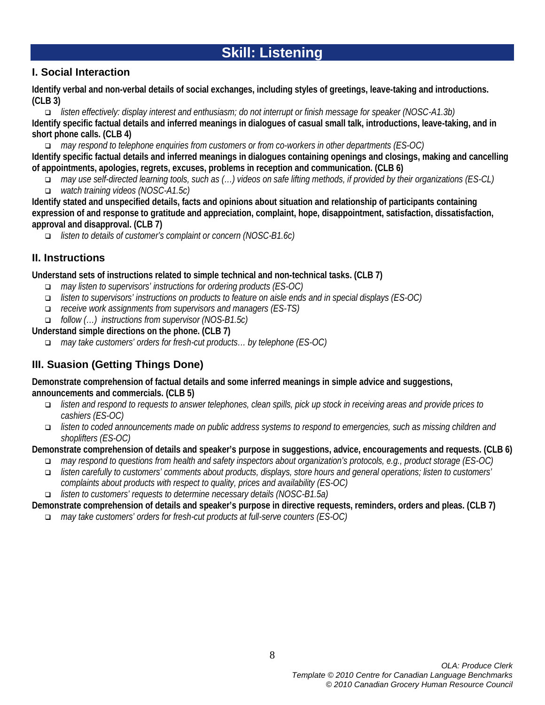# **Skill: Listening**

# **I. Social Interaction**

**Identify verbal and non-verbal details of social exchanges, including styles of greetings, leave-taking and introductions. (CLB 3)**

 *listen effectively: display interest and enthusiasm; do not interrupt or finish message for speaker (NOSC-A1.3b)* **Identify specific factual details and inferred meanings in dialogues of casual small talk, introductions, leave-taking, and in short phone calls. (CLB 4)**

*may respond to telephone enquiries from customers or from co-workers in other departments (ES-OC)*

**Identify specific factual details and inferred meanings in dialogues containing openings and closings, making and cancelling of appointments, apologies, regrets, excuses, problems in reception and communication. (CLB 6)**

 *may use self-directed learning tools, such as (…) videos on safe lifting methods, if provided by their organizations (ES-CL) watch training videos (NOSC-A1.5c)*

- **Identify stated and unspecified details, facts and opinions about situation and relationship of participants containing expression of and response to gratitude and appreciation, complaint, hope, disappointment, satisfaction, dissatisfaction, approval and disapproval. (CLB 7)**
	- *listen to details of customer's complaint or concern (NOSC-B1.6c)*

# **II. Instructions**

**Understand sets of instructions related to simple technical and non-technical tasks. (CLB 7)**

- *may listen to supervisors' instructions for ordering products (ES-OC)*
- *listen to supervisors' instructions on products to feature on aisle ends and in special displays (ES-OC)*
- *receive work assignments from supervisors and managers (ES-TS)*
- *follow (…) instructions from supervisor (NOS-B1.5c)*

**Understand simple directions on the phone. (CLB 7)**

*may take customers' orders for fresh-cut products… by telephone (ES-OC)*

# **III. Suasion (Getting Things Done)**

**Demonstrate comprehension of factual details and some inferred meanings in simple advice and suggestions, announcements and commercials. (CLB 5)**

- *listen and respond to requests to answer telephones, clean spills, pick up stock in receiving areas and provide prices to cashiers (ES-OC)*
- *listen to coded announcements made on public address systems to respond to emergencies, such as missing children and shoplifters (ES-OC)*

#### **Demonstrate comprehension of details and speaker's purpose in suggestions, advice, encouragements and requests. (CLB 6)**

- *may respond to questions from health and safety inspectors about organization's protocols, e.g., product storage (ES-OC)*
- *listen carefully to customers' comments about products, displays, store hours and general operations; listen to customers' complaints about products with respect to quality, prices and availability (ES-OC)*
- *listen to customers' requests to determine necessary details (NOSC-B1.5a)*

# **Demonstrate comprehension of details and speaker's purpose in directive requests, reminders, orders and pleas. (CLB 7)**

*may take customers' orders for fresh-cut products at full-serve counters (ES-OC)*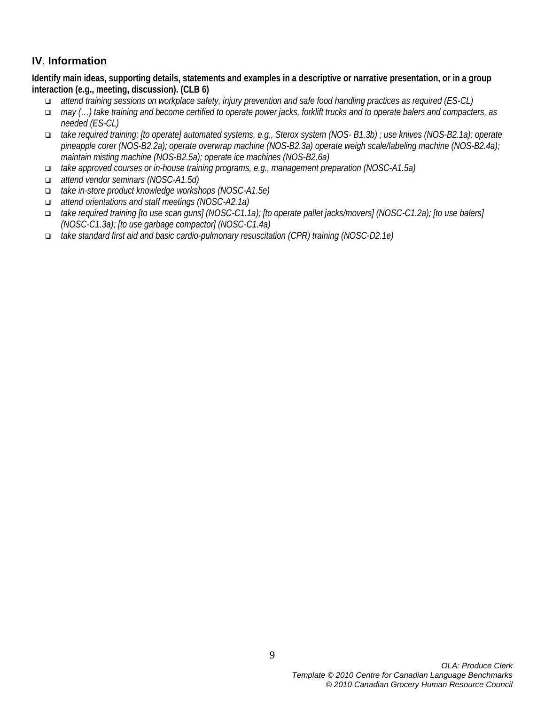# **IV**. **Information**

**Identify main ideas, supporting details, statements and examples in a descriptive or narrative presentation, or in a group interaction (e.g., meeting, discussion). (CLB 6)**

- *attend training sessions on workplace safety, injury prevention and safe food handling practices as required (ES-CL)*
- *may (…) take training and become certified to operate power jacks, forklift trucks and to operate balers and compacters, as needed (ES-CL)*
- *take required training; [to operate] automated systems, e.g., Sterox system (NOS- B1.3b) ; use knives (NOS-B2.1a); operate pineapple corer (NOS-B2.2a); operate overwrap machine (NOS-B2.3a) operate weigh scale/labeling machine (NOS-B2.4a); maintain misting machine (NOS-B2.5a); operate ice machines (NOS-B2.6a)*
- *take approved courses or in-house training programs, e.g., management preparation (NOSC-A1.5a)*
- *attend vendor seminars (NOSC-A1.5d)*
- *take in-store product knowledge workshops (NOSC-A1.5e)*
- *attend orientations and staff meetings (NOSC-A2.1a)*
- *take required training [to use scan guns] (NOSC-C1.1a); [to operate pallet jacks/movers] (NOSC-C1.2a); [to use balers] (NOSC-C1.3a); [to use garbage compactor] (NOSC-C1.4a)*
- *take standard first aid and basic cardio-pulmonary resuscitation (CPR) training (NOSC-D2.1e)*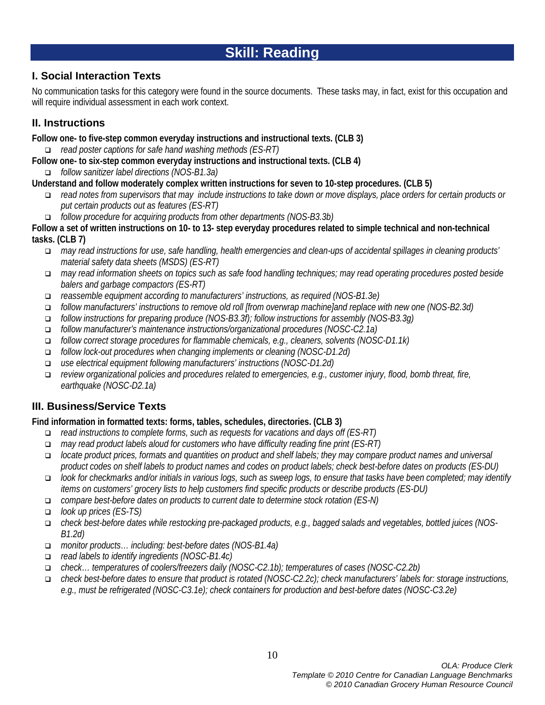# **Skill: Reading**

# **I. Social Interaction Texts**

No communication tasks for this category were found in the source documents. These tasks may, in fact, exist for this occupation and will require individual assessment in each work context.

# **II. Instructions**

**Follow one- to five-step common everyday instructions and instructional texts. (CLB 3)**

- *read poster captions for safe hand washing methods (ES-RT)*
- **Follow one- to six-step common everyday instructions and instructional texts. (CLB 4)**

*follow sanitizer label directions (NOS-B1.3a)*

**Understand and follow moderately complex written instructions for seven to 10-step procedures. (CLB 5)**

- *read notes from supervisors that may include instructions to take down or move displays, place orders for certain products or put certain products out as features (ES-RT)*
- *follow procedure for acquiring products from other departments (NOS-B3.3b)*

**Follow a set of written instructions on 10- to 13- step everyday procedures related to simple technical and non-technical tasks. (CLB 7)**

- *may read instructions for use, safe handling, health emergencies and clean-ups of accidental spillages in cleaning products' material safety data sheets (MSDS) (ES-RT)*
- *may read information sheets on topics such as safe food handling techniques; may read operating procedures posted beside balers and garbage compactors (ES-RT)*
- *reassemble equipment according to manufacturers' instructions, as required (NOS-B1.3e)*
- *follow manufacturers' instructions to remove old roll [from overwrap machine]and replace with new one (NOS-B2.3d)*
- *follow instructions for preparing produce (NOS-B3.3f); follow instructions for assembly (NOS-B3.3g)*
- *follow manufacturer's maintenance instructions/organizational procedures (NOSC-C2.1a)*
- *follow correct storage procedures for flammable chemicals, e.g., cleaners, solvents (NOSC-D1.1k)*
- *follow lock-out procedures when changing implements or cleaning (NOSC-D1.2d)*
- *use electrical equipment following manufacturers' instructions (NOSC-D1.2d)*
- *review organizational policies and procedures related to emergencies, e.g., customer injury, flood, bomb threat, fire, earthquake (NOSC-D2.1a)*

# **III. Business/Service Texts**

# **Find information in formatted texts: forms, tables, schedules, directories. (CLB 3)**

- *read instructions to complete forms, such as requests for vacations and days off (ES-RT)*
- *may read product labels aloud for customers who have difficulty reading fine print (ES-RT)*
- *locate product prices, formats and quantities on product and shelf labels; they may compare product names and universal product codes on shelf labels to product names and codes on product labels; check best-before dates on products (ES-DU)*
- *look for checkmarks and/or initials in various logs, such as sweep logs, to ensure that tasks have been completed; may identify items on customers' grocery lists to help customers find specific products or describe products (ES-DU)*
- *compare best-before dates on products to current date to determine stock rotation (ES-N)*
- *look up prices (ES-TS)*
- *check best-before dates while restocking pre-packaged products, e.g., bagged salads and vegetables, bottled juices (NOS-B1.2d)*
- *monitor products… including: best-before dates (NOS-B1.4a)*
- *read labels to identify ingredients (NOSC-B1.4c)*
- *check… temperatures of coolers/freezers daily (NOSC-C2.1b); temperatures of cases (NOSC-C2.2b)*
- *check best-before dates to ensure that product is rotated (NOSC-C2.2c); check manufacturers' labels for: storage instructions, e.g., must be refrigerated (NOSC-C3.1e); check containers for production and best-before dates (NOSC-C3.2e)*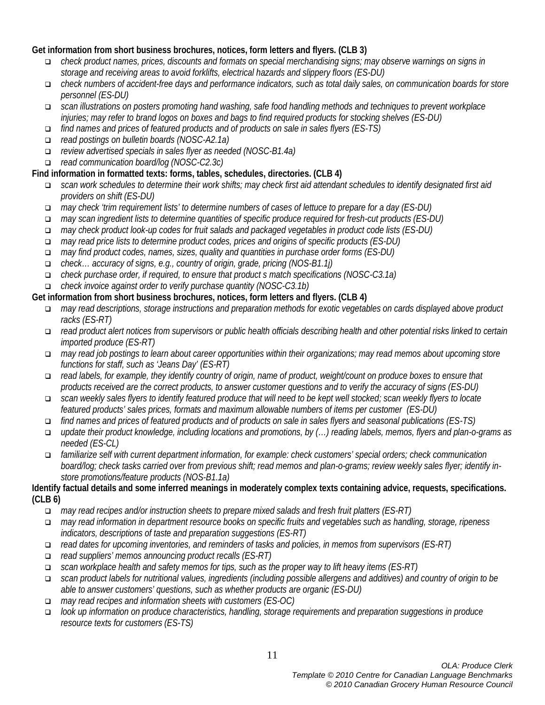#### **Get information from short business brochures, notices, form letters and flyers. (CLB 3)**

- *check product names, prices, discounts and formats on special merchandising signs; may observe warnings on signs in storage and receiving areas to avoid forklifts, electrical hazards and slippery floors (ES-DU)*
- *check numbers of accident-free days and performance indicators, such as total daily sales, on communication boards for store personnel (ES-DU)*
- *scan illustrations on posters promoting hand washing, safe food handling methods and techniques to prevent workplace injuries; may refer to brand logos on boxes and bags to find required products for stocking shelves (ES-DU)*
- *find names and prices of featured products and of products on sale in sales flyers (ES-TS)*
- *read postings on bulletin boards (NOSC-A2.1a)*
- *review advertised specials in sales flyer as needed (NOSC-B1.4a)*
- *read communication board/log (NOSC-C2.3c)*

#### **Find information in formatted texts: forms, tables, schedules, directories. (CLB 4)**

- *scan work schedules to determine their work shifts; may check first aid attendant schedules to identify designated first aid providers on shift (ES-DU)*
- *may check 'trim requirement lists' to determine numbers of cases of lettuce to prepare for a day (ES-DU)*
- *may scan ingredient lists to determine quantities of specific produce required for fresh-cut products (ES-DU)*
- *may check product look-up codes for fruit salads and packaged vegetables in product code lists (ES-DU)*
- *may read price lists to determine product codes, prices and origins of specific products (ES-DU)*
- *may find product codes, names, sizes, quality and quantities in purchase order forms (ES-DU)*
- *check… accuracy of signs, e.g., country of origin, grade, pricing (NOS-B1.1j)*
- *check purchase order, if required, to ensure that product s match specifications (NOSC-C3.1a)*
- *check invoice against order to verify purchase quantity (NOSC-C3.1b)*

#### **Get information from short business brochures, notices, form letters and flyers. (CLB 4)**

- *may read descriptions, storage instructions and preparation methods for exotic vegetables on cards displayed above product racks (ES-RT)*
- *read product alert notices from supervisors or public health officials describing health and other potential risks linked to certain imported produce (ES-RT)*
- *may read job postings to learn about career opportunities within their organizations; may read memos about upcoming store functions for staff, such as 'Jeans Day' (ES-RT)*
- *read labels, for example, they identify country of origin, name of product, weight/count on produce boxes to ensure that products received are the correct products, to answer customer questions and to verify the accuracy of signs (ES-DU)*
- *scan weekly sales flyers to identify featured produce that will need to be kept well stocked; scan weekly flyers to locate featured products' sales prices, formats and maximum allowable numbers of items per customer (ES-DU)*
- *find names and prices of featured products and of products on sale in sales flyers and seasonal publications (ES-TS)*
- *update their product knowledge, including locations and promotions, by (…) reading labels, memos, flyers and plan-o-grams as needed (ES-CL)*
- *familiarize self with current department information, for example: check customers' special orders; check communication board/log; check tasks carried over from previous shift; read memos and plan-o-grams; review weekly sales flyer; identify instore promotions/feature products (NOS-B1.1a)*

#### **Identify factual details and some inferred meanings in moderately complex texts containing advice, requests, specifications. (CLB 6)**

- *may read recipes and/or instruction sheets to prepare mixed salads and fresh fruit platters (ES-RT)*
- *may read information in department resource books on specific fruits and vegetables such as handling, storage, ripeness indicators, descriptions of taste and preparation suggestions (ES-RT)*
- *read dates for upcoming inventories, and reminders of tasks and policies, in memos from supervisors (ES-RT)*
- *read suppliers' memos announcing product recalls (ES-RT)*
- *scan workplace health and safety memos for tips, such as the proper way to lift heavy items (ES-RT)*
- *scan product labels for nutritional values, ingredients (including possible allergens and additives) and country of origin to be able to answer customers' questions, such as whether products are organic (ES-DU)*
- *may read recipes and information sheets with customers (ES-OC)*
- *look up information on produce characteristics, handling, storage requirements and preparation suggestions in produce resource texts for customers (ES-TS)*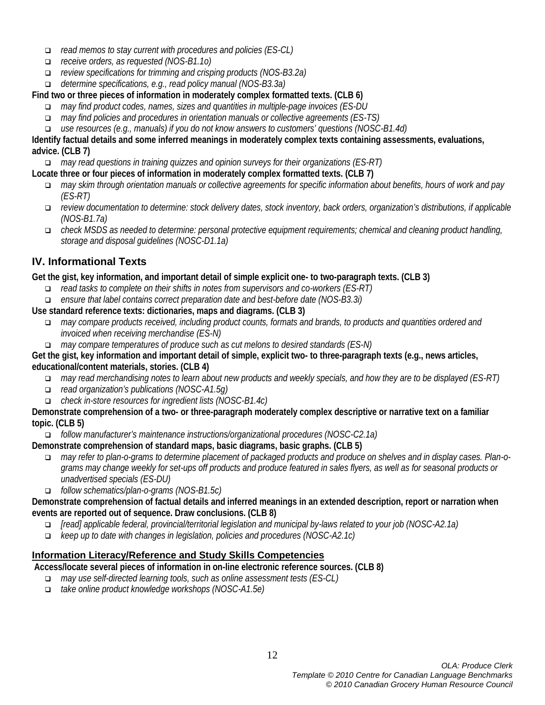- *read memos to stay current with procedures and policies (ES-CL)*
- *receive orders, as requested (NOS-B1.1o)*
- *review specifications for trimming and crisping products (NOS-B3.2a)*
- *determine specifications, e.g., read policy manual (NOS-B3.3a)*

# **Find two or three pieces of information in moderately complex formatted texts. (CLB 6)**

- *may find product codes, names, sizes and quantities in multiple-page invoices (ES-DU*
- *may find policies and procedures in orientation manuals or collective agreements (ES-TS)*
- *use resources (e.g., manuals) if you do not know answers to customers' questions (NOSC-B1.4d)*

#### **Identify factual details and some inferred meanings in moderately complex texts containing assessments, evaluations, advice. (CLB 7)**

- *may read questions in training quizzes and opinion surveys for their organizations (ES-RT)*
- **Locate three or four pieces of information in moderately complex formatted texts. (CLB 7)**
	- *may skim through orientation manuals or collective agreements for specific information about benefits, hours of work and pay (ES-RT)*
	- *review documentation to determine: stock delivery dates, stock inventory, back orders, organization's distributions, if applicable (NOS-B1.7a)*
	- *check MSDS as needed to determine: personal protective equipment requirements; chemical and cleaning product handling, storage and disposal guidelines (NOSC-D1.1a)*

# **IV. Informational Texts**

**Get the gist, key information, and important detail of simple explicit one- to two-paragraph texts. (CLB 3)**

- *read tasks to complete on their shifts in notes from supervisors and co-workers (ES-RT)*
- *ensure that label contains correct preparation date and best-before date (NOS-B3.3i)*

**Use standard reference texts: dictionaries, maps and diagrams. (CLB 3)**

- *may compare products received, including product counts, formats and brands, to products and quantities ordered and invoiced when receiving merchandise (ES-N)*
- *may compare temperatures of produce such as cut melons to desired standards (ES-N)*

**Get the gist, key information and important detail of simple, explicit two- to three-paragraph texts (e.g., news articles, educational/content materials, stories. (CLB 4)**

- *may read merchandising notes to learn about new products and weekly specials, and how they are to be displayed (ES-RT)*
- *read organization's publications (NOSC-A1.5g)*
- *check in-store resources for ingredient lists (NOSC-B1.4c)*

**Demonstrate comprehension of a two- or three-paragraph moderately complex descriptive or narrative text on a familiar topic. (CLB 5)**

*follow manufacturer's maintenance instructions/organizational procedures (NOSC-C2.1a)*

**Demonstrate comprehension of standard maps, basic diagrams, basic graphs. (CLB 5)**

- *may refer to plan-o-grams to determine placement of packaged products and produce on shelves and in display cases. Plan-ograms may change weekly for set-ups off products and produce featured in sales flyers, as well as for seasonal products or unadvertised specials (ES-DU)*
- *follow schematics/plan-o-grams (NOS-B1.5c)*

**Demonstrate comprehension of factual details and inferred meanings in an extended description, report or narration when events are reported out of sequence. Draw conclusions. (CLB 8)**

- *[read] applicable federal, provincial/territorial legislation and municipal by-laws related to your job (NOSC-A2.1a)*
- *keep up to date with changes in legislation, policies and procedures (NOSC-A2.1c)*

# **Information Literacy/Reference and Study Skills Competencies**

**Access/locate several pieces of information in on-line electronic reference sources. (CLB 8)**

- *may use self-directed learning tools, such as online assessment tests (ES-CL)*
- *take online product knowledge workshops (NOSC-A1.5e)*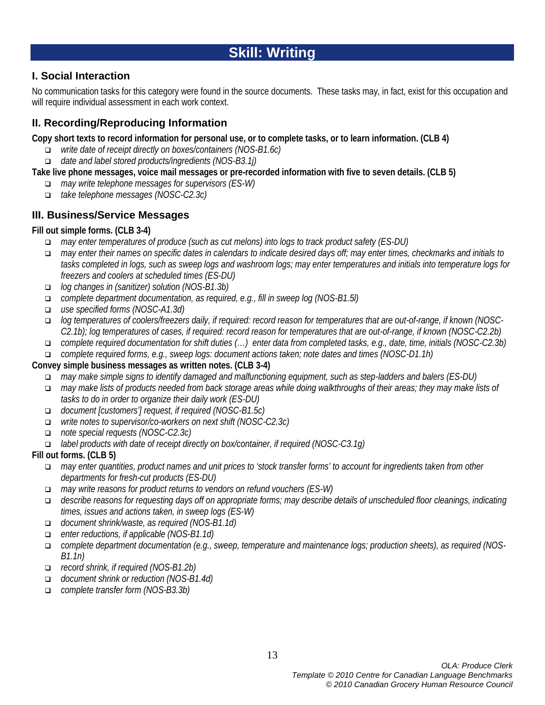# **Skill: Writing**

# **I. Social Interaction**

No communication tasks for this category were found in the source documents. These tasks may, in fact, exist for this occupation and will require individual assessment in each work context.

# **II. Recording/Reproducing Information**

**Copy short texts to record information for personal use, or to complete tasks, or to learn information. (CLB 4)**

- *write date of receipt directly on boxes/containers (NOS-B1.6c)*
- *date and label stored products/ingredients (NOS-B3.1j)*

#### **Take live phone messages, voice mail messages or pre-recorded information with five to seven details. (CLB 5)**

- *may write telephone messages for supervisors (ES-W)*
- *take telephone messages (NOSC-C2.3c)*

# **III. Business/Service Messages**

#### **Fill out simple forms. (CLB 3-4)**

- *may enter temperatures of produce (such as cut melons) into logs to track product safety (ES-DU)*
- *may enter their names on specific dates in calendars to indicate desired days off; may enter times, checkmarks and initials to tasks completed in logs, such as sweep logs and washroom logs; may enter temperatures and initials into temperature logs for freezers and coolers at scheduled times (ES-DU)*
- *log changes in (sanitizer) solution (NOS-B1.3b)*
- *complete department documentation, as required, e.g., fill in sweep log (NOS-B1.5l)*
- *use specified forms (NOSC-A1.3d)*
- *log temperatures of coolers/freezers daily, if required: record reason for temperatures that are out-of-range, if known (NOSC-C2.1b); log temperatures of cases, if required: record reason for temperatures that are out-of-range, if known (NOSC-C2.2b)*
- *complete required documentation for shift duties (…) enter data from completed tasks, e.g., date, time, initials (NOSC-C2.3b)*
- *complete required forms, e.g., sweep logs: document actions taken; note dates and times (NOSC-D1.1h)*

#### **Convey simple business messages as written notes. (CLB 3-4)**

- *may make simple signs to identify damaged and malfunctioning equipment, such as step-ladders and balers (ES-DU)*
- *may make lists of products needed from back storage areas while doing walkthroughs of their areas; they may make lists of tasks to do in order to organize their daily work (ES-DU)*
- *document [customers'] request, if required (NOSC-B1.5c)*
- *write notes to supervisor/co-workers on next shift (NOSC-C2.3c)*
- *note special requests (NOSC-C2.3c)*
- *label products with date of receipt directly on box/container, if required (NOSC-C3.1g)*

#### **Fill out forms. (CLB 5)**

- *may enter quantities, product names and unit prices to 'stock transfer forms' to account for ingredients taken from other departments for fresh-cut products (ES-DU)*
- *may write reasons for product returns to vendors on refund vouchers (ES-W)*
- *describe reasons for requesting days off on appropriate forms; may describe details of unscheduled floor cleanings, indicating times, issues and actions taken, in sweep logs (ES-W)*
- *document shrink/waste, as required (NOS-B1.1d)*
- *enter reductions, if applicable (NOS-B1.1d)*
- *complete department documentation (e.g., sweep, temperature and maintenance logs; production sheets), as required (NOS-B1.1n)*
- *record shrink, if required (NOS-B1.2b)*
- *document shrink or reduction (NOS-B1.4d)*
- *complete transfer form (NOS-B3.3b)*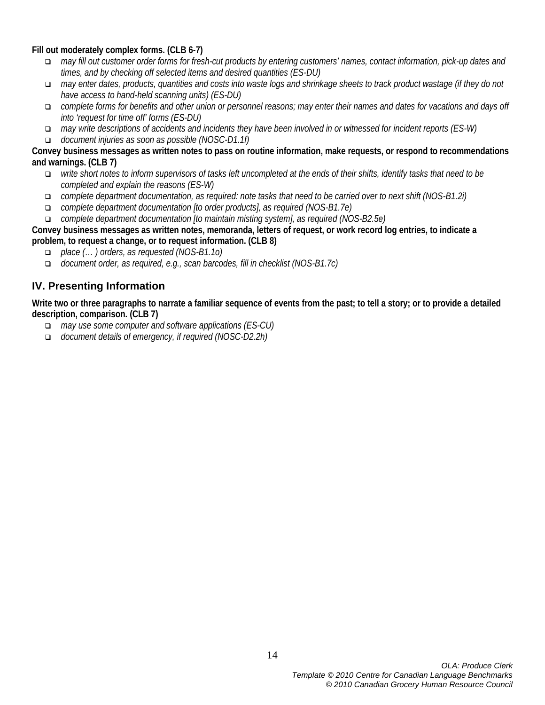**Fill out moderately complex forms. (CLB 6-7)**

- *may fill out customer order forms for fresh-cut products by entering customers' names, contact information, pick-up dates and times, and by checking off selected items and desired quantities (ES-DU)*
- *may enter dates, products, quantities and costs into waste logs and shrinkage sheets to track product wastage (if they do not have access to hand-held scanning units) (ES-DU)*
- *complete forms for benefits and other union or personnel reasons; may enter their names and dates for vacations and days off into 'request for time off' forms (ES-DU)*
- *may write descriptions of accidents and incidents they have been involved in or witnessed for incident reports (ES-W)*
- *document injuries as soon as possible (NOSC-D1.1f)*

#### **Convey business messages as written notes to pass on routine information, make requests, or respond to recommendations and warnings. (CLB 7)**

- *write short notes to inform supervisors of tasks left uncompleted at the ends of their shifts, identify tasks that need to be completed and explain the reasons (ES-W)*
- *complete department documentation, as required: note tasks that need to be carried over to next shift (NOS-B1.2i)*
- *complete department documentation [to order products], as required (NOS-B1.7e)*
- *complete department documentation [to maintain misting system], as required (NOS-B2.5e)*

**Convey business messages as written notes, memoranda, letters of request, or work record log entries, to indicate a problem, to request a change, or to request information. (CLB 8)**

- *place (… ) orders, as requested (NOS-B1.1o)*
- *document order, as required, e.g., scan barcodes, fill in checklist (NOS-B1.7c)*

# **IV. Presenting Information**

**Write two or three paragraphs to narrate a familiar sequence of events from the past; to tell a story; or to provide a detailed description, comparison. (CLB 7)**

- *may use some computer and software applications (ES-CU)*
- *document details of emergency, if required (NOSC-D2.2h)*